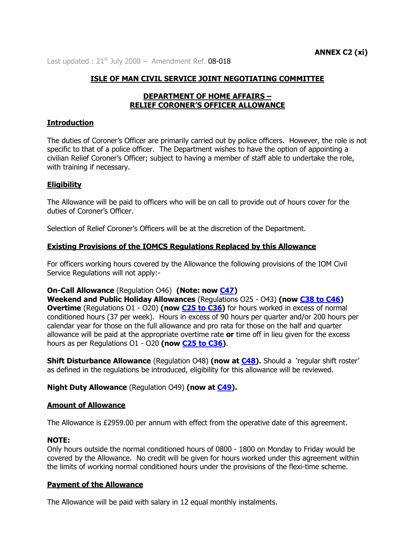Last updated :  $21^{st}$  July 2008 – Amendment Ref. 08-018

## **ISLE OF MAN CIVIL SERVICE JOINT NEGOTIATING COMMITTEE**

### **DEPARTMENT OF HOME AFFAIRS – RELIEF CORONER'S OFFICER ALLOWANCE**

### **Introduction**

The duties of Coroner's Officer are primarily carried out by police officers. However, the role is not specific to that of a police officer. The Department wishes to have the option of appointing a civilian Relief Coroner's Officer; subject to having a member of staff able to undertake the role, with training if necessary.

## **Eligibility**

The Allowance will be paid to officers who will be on call to provide out of hours cover for the duties of Coroner's Officer.

Selection of Relief Coroner's Officers will be at the discretion of the Department.

## **Existing Provisions of the IOMCS Regulations Replaced by this Allowance**

For officers working hours covered by the Allowance the following provisions of the IOM Civil Service Regulations will not apply:-

### **On-Call Allowance** (Regulation O46) **(Note: now [C47\)](http://www.gov.im/personnel/iomcs/cs_regs/section_C/overtime.xml#c47)**

**Weekend and Public Holiday Allowances** (Regulations O25 - O43) **(now [C38 to C46\)](http://www.gov.im/personnel/iomcs/cs_regs/section_C/overtime.xml#c38) Overtime** (Regulations O1 - O20) (now **C25 to C36**) for hours worked in excess of normal conditioned hours (37 per week). Hours in excess of 90 hours per quarter and/or 200 hours per calendar year for those on the full allowance and pro rata for those on the half and quarter allowance will be paid at the appropriate overtime rate **or** time off in lieu given for the excess hours as per Regulations O1 - O20 **(now [C25 to C36\)](http://www.gov.im/personnel/iomcs/cs_regs/section_C/overtime.xml#c25)**.

**Shift Disturbance Allowance** (Regulation O48) **(now at [C48\)](http://www.gov.im/personnel/iomcs/cs_regs/section_C/overtime.xml#c48).** Should a 'regular shift roster' as defined in the regulations be introduced, eligibility for this allowance will be reviewed.

### **Night Duty Allowance** (Regulation O49) **(now at [C49\)](http://www.gov.im/personnel/iomcs/cs_regs/section_C/overtime.xml#c49).**

### **Amount of Allowance**

The Allowance is £2959.00 per annum with effect from the operative date of this agreement.

### **NOTE:**

Only hours outside the normal conditioned hours of 0800 - 1800 on Monday to Friday would be covered by the Allowance. No credit will be given for hours worked under this agreement within the limits of working normal conditioned hours under the provisions of the flexi-time scheme.

### **Payment of the Allowance**

The Allowance will be paid with salary in 12 equal monthly instalments.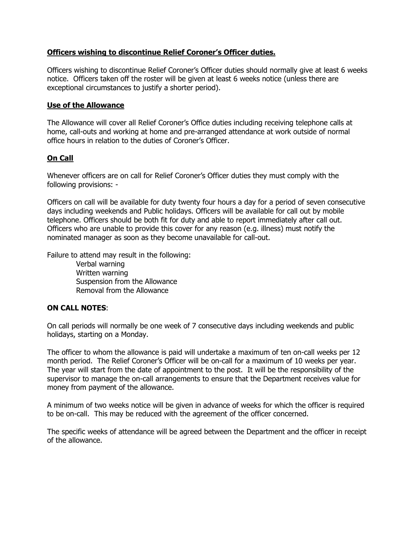# **Officers wishing to discontinue Relief Coroner's Officer duties.**

Officers wishing to discontinue Relief Coroner's Officer duties should normally give at least 6 weeks notice. Officers taken off the roster will be given at least 6 weeks notice (unless there are exceptional circumstances to justify a shorter period).

## **Use of the Allowance**

The Allowance will cover all Relief Coroner's Office duties including receiving telephone calls at home, call-outs and working at home and pre-arranged attendance at work outside of normal office hours in relation to the duties of Coroner's Officer.

# **On Call**

Whenever officers are on call for Relief Coroner's Officer duties they must comply with the following provisions: -

Officers on call will be available for duty twenty four hours a day for a period of seven consecutive days including weekends and Public holidays. Officers will be available for call out by mobile telephone. Officers should be both fit for duty and able to report immediately after call out. Officers who are unable to provide this cover for any reason (e.g. illness) must notify the nominated manager as soon as they become unavailable for call-out.

Failure to attend may result in the following:

Verbal warning Written warning Suspension from the Allowance Removal from the Allowance

# **ON CALL NOTES**:

On call periods will normally be one week of 7 consecutive days including weekends and public holidays, starting on a Monday.

The officer to whom the allowance is paid will undertake a maximum of ten on-call weeks per 12 month period. The Relief Coroner's Officer will be on-call for a maximum of 10 weeks per year. The year will start from the date of appointment to the post. It will be the responsibility of the supervisor to manage the on-call arrangements to ensure that the Department receives value for money from payment of the allowance.

A minimum of two weeks notice will be given in advance of weeks for which the officer is required to be on-call. This may be reduced with the agreement of the officer concerned.

The specific weeks of attendance will be agreed between the Department and the officer in receipt of the allowance.